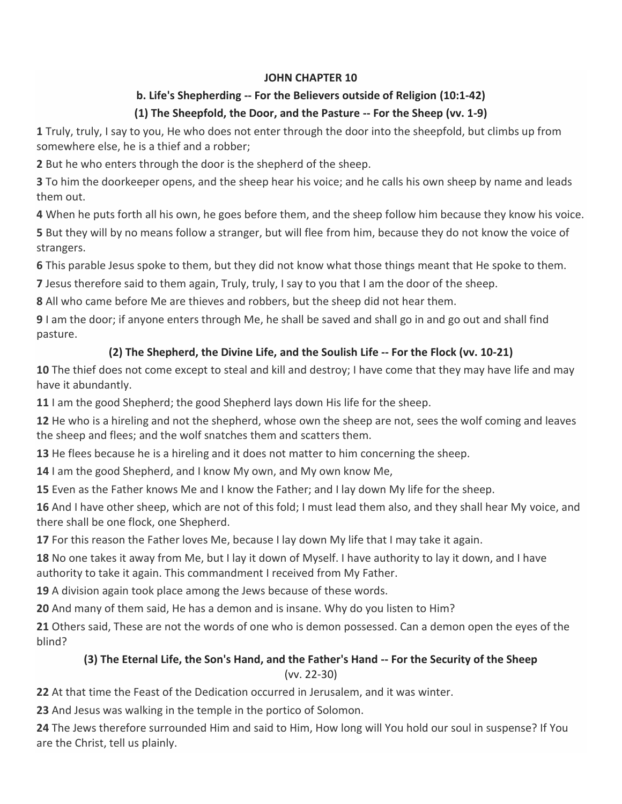### **JOHN CHAPTER 10**

### **b. Life's Shepherding -- For the Believers outside of Religion (10:1-42)**

## **(1) The Sheepfold, the Door, and the Pasture -- For the Sheep (vv. 1-9)**

**1** Truly, truly, I say to you, He who does not enter through the door into the sheepfold, but climbs up from somewhere else, he is a thief and a robber;

**2** But he who enters through the door is the shepherd of the sheep.

**3** To him the doorkeeper opens, and the sheep hear his voice; and he calls his own sheep by name and leads them out.

**4** When he puts forth all his own, he goes before them, and the sheep follow him because they know his voice. **5** But they will by no means follow a stranger, but will flee from him, because they do not know the voice of strangers.

**6** This parable Jesus spoke to them, but they did not know what those things meant that He spoke to them.

**7** Jesus therefore said to them again, Truly, truly, I say to you that I am the door of the sheep.

**8** All who came before Me are thieves and robbers, but the sheep did not hear them.

**9** I am the door; if anyone enters through Me, he shall be saved and shall go in and go out and shall find pasture.

# **(2) The Shepherd, the Divine Life, and the Soulish Life -- For the Flock (vv. 10-21)**

**10** The thief does not come except to steal and kill and destroy; I have come that they may have life and may have it abundantly.

**11** I am the good Shepherd; the good Shepherd lays down His life for the sheep.

**12** He who is a hireling and not the shepherd, whose own the sheep are not, sees the wolf coming and leaves the sheep and flees; and the wolf snatches them and scatters them.

**13** He flees because he is a hireling and it does not matter to him concerning the sheep.

**14** I am the good Shepherd, and I know My own, and My own know Me,

**15** Even as the Father knows Me and I know the Father; and I lay down My life for the sheep.

**16** And I have other sheep, which are not of this fold; I must lead them also, and they shall hear My voice, and there shall be one flock, one Shepherd.

**17** For this reason the Father loves Me, because I lay down My life that I may take it again.

**18** No one takes it away from Me, but I lay it down of Myself. I have authority to lay it down, and I have authority to take it again. This commandment I received from My Father.

**19** A division again took place among the Jews because of these words.

**20** And many of them said, He has a demon and is insane. Why do you listen to Him?

**21** Others said, These are not the words of one who is demon possessed. Can a demon open the eyes of the blind?

## **(3) The Eternal Life, the Son's Hand, and the Father's Hand -- For the Security of the Sheep** (vv. 22-30)

**22** At that time the Feast of the Dedication occurred in Jerusalem, and it was winter.

**23** And Jesus was walking in the temple in the portico of Solomon.

**24** The Jews therefore surrounded Him and said to Him, How long will You hold our soul in suspense? If You are the Christ, tell us plainly.